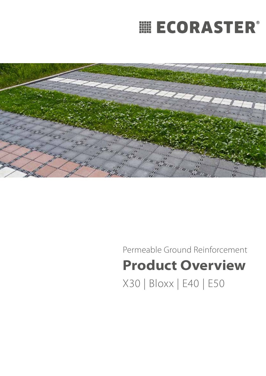# **|| ECORASTER®**



Permeable Ground Reinforcement **Product Overview**  X30 | Bloxx | E40 | E50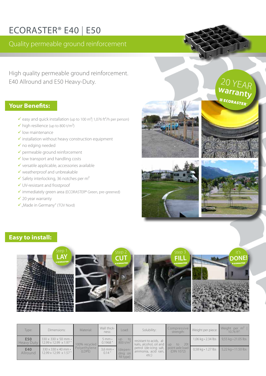## ECORASTER® E40 | E50

Quality permeable ground reinforcement

High quality permeable ground reinforcement. E40 Allround and E50 Heavy-Duty.

### **Your Benefits:**

- $\checkmark$  easy and quick installation (up to 100 m<sup>2</sup> 1,076 ft<sup>2</sup>/h per person)
- $\checkmark$  high resilience (up to 800 t/m<sup>2</sup>)
- $\checkmark$  low maintenance
- $\checkmark$  installation without heavy construction equipment
- $\checkmark$  no edging needed
- permeable ground reinforcement
- $\checkmark$  low transport and handling costs
- $\checkmark$  versatile applicable, accessories available
- $\checkmark$  weatherproof and unbreakable
- $\checkmark$  Safety interlocking, 36 notches per m<sup>2</sup>
- UV-resistant and frostproof
- immediately green area (ECORASTER® Green, pre-greened)
- $\checkmark$  20 year warranty
- $\checkmark$  "Made in Germany" (TÜV Nord)





20 YEAR



### **Easy to install:**



| Type:                    | Dimensions:                                                                 | Material:              | Wall thick-<br>ness:         | Load:                                   | Solubility:                                                                                                                     | Compressive<br>strength:            | Weight per piece:                        | Weight per m <sup>2</sup><br>10.76 ft <sup>2</sup> : |
|--------------------------|-----------------------------------------------------------------------------|------------------------|------------------------------|-----------------------------------------|---------------------------------------------------------------------------------------------------------------------------------|-------------------------------------|------------------------------------------|------------------------------------------------------|
| E50<br><b>Heavy Duty</b> | $330 \times 330 \times 50$ mm $\cdot$<br>$12.99 \times 12.99 \times 1.97$ " | 100% recycled          | $5$ mm $\cdot$<br>0.1968     | to<br><b>UD</b><br>800 t/m <sup>2</sup> | resistant to acids, al-<br>kalis, alcohol, oil and up<br>petrol (de-icing salt, point axle load<br>ammonia, acid rain,<br>etc.) | 20 <sub>t</sub><br>to<br>(DIN 1072) | $1,06 \text{ kg} \cdot 2.34 \text{ lbs}$ | 9,55 kg · 21.05 lbs                                  |
| E40<br>Allround          | $330 \times 330 \times 40$ mm $\cdot$<br>$12.99 \times 12.99 \times 1.57$ " | Polyethylene<br>(LDPE) | $3.6$ mm $\cdot$<br>$0.14$ " | (depen-<br>ding on<br>fill type)        |                                                                                                                                 |                                     | $0.58$ kg $\cdot$ 1.27 lbs               | $5,22$ kg $\cdot$ 11.50 lbs                          |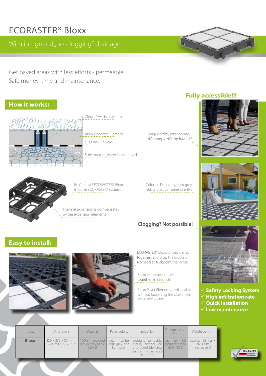### ECORASTER® Bloxx

### With integrated "no-clogging" drainage

Get paved areas with less efforts - permeable! Safe money, time and maintenance.

### **How it works:**



Clogg-free dain system

Bloxx Concrete Element ECORASTER Bloxx

Substructure, water-bearing bed

### **Fully accessible!!!**





### **Clogging? Not possible!**

Unique safety interlocking, NO bumps, NO trip hazards!

 **Safety Locking System**  $\checkmark$  High infiltration rate **Quick Installation Low maintenance**

| Type:        | Dimensions:                                                                             | Material:                  | Paver colors: | Solubility:                                                                                                                          | Compressive<br>strength: | Weight per m <sup>2</sup> :                                  |
|--------------|-----------------------------------------------------------------------------------------|----------------------------|---------------|--------------------------------------------------------------------------------------------------------------------------------------|--------------------------|--------------------------------------------------------------|
| <b>Bloxx</b> | 330 x 330 x 50 mm · 100%<br>$12.99 \times 12.99 \times 1.97$ Polyethylene dark grey and | recycled red,<br>$(1$ DPF) | light grey    | white, resistant to acids, up<br>alkalis, alcohol, oil point axle load<br>and petrol (de-icing<br>salt, ammonia, acid<br>rain, etc.) | (DIN 1072)               | to 20t approx. 85 kg $\cdot$<br>187.39 lbs<br>(incl. pavers) |

### **Easy to install:**





ECORASTER® Bloxx, unpack, snap together, and drop the blocks in. No need to tuckpoint the joints!

Bloxx elements connect together in seconds!

Bloxx Paver Elements, replaceable without loosening the cluster (e.g. exchange dirty paver)



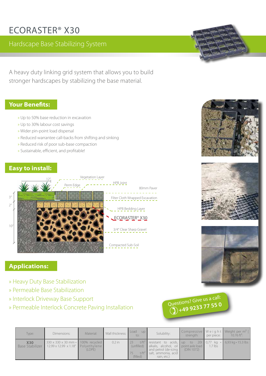## ECORASTER® X30

### Hardscape Base Stabilizing System

A heavy duty linking grid system that allows you to build stronger hardscapes by stabilizing the base material.

### **Your Benefits:**

- » Up to 50% base reduction in excavation
- » Up to 30% labour cost savings
- » Wider pin-point load dispersal
- » Reduced warrantee call-backs from shifting and sinking
- » Reduced risk of poor sub-base compaction
- » Sustainable, efficient, and profitable!

### **Easy to install:**





### **Applications:**

- » Heavy Duty Base Stabilization
- » Permeable Base Stabilization
- » Interlock Driveway Base Support
- » Permeable Interlock Concrete Paving Installation



| Type:                         | Dimensions:                                                                          | Material: | Wall thickness: | Load<br><b>UD</b><br>to: | Solubility:                                                                                                                                                                                               | strength:  | per piece: | Compressive Weight Weight per $m^2$<br>10.76 ft <sup>2</sup> : |
|-------------------------------|--------------------------------------------------------------------------------------|-----------|-----------------|--------------------------|-----------------------------------------------------------------------------------------------------------------------------------------------------------------------------------------------------------|------------|------------|----------------------------------------------------------------|
| <b>X30</b><br>Base Stabilizer | 330 x 330 x 30 mm · 100% recycled<br>$12.99 \times 12.99 \times 1.18$ " Polyethylene | (LDPE)    | $0.2$ in        | (filled)                 | $t/ft^2$ resistant to acids, up to 20t 0,77 kg $\cdot$ 6,93 kg $\cdot$ 15.3 lbs<br>(unfilled) alkalis, alcohol, oil point axle load<br>and petrol (de-icing<br>$t/ft2$ salt, ammonia, acid<br>rain, etc.) | (DIN 1072) | $1.7$ lbs  |                                                                |





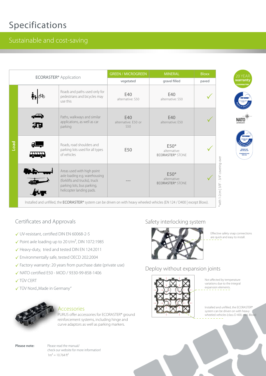### Specifications

### Sustainable and cost-saving

|                                          |                                                                                            | <b>GREEN / MICROGREEN</b>                                                                                                                              | <b>MINERAL</b>                    | <b>Bloxx</b>                                      | 20 YEAR |                                                                      |  |  |  |
|------------------------------------------|--------------------------------------------------------------------------------------------|--------------------------------------------------------------------------------------------------------------------------------------------------------|-----------------------------------|---------------------------------------------------|---------|----------------------------------------------------------------------|--|--|--|
| <b>ECORASTER<sup>®</sup></b> Application |                                                                                            |                                                                                                                                                        | vegetated                         | gravel filled                                     | paved   | warranty<br><b>ECORASTER</b>                                         |  |  |  |
|                                          | Roads and paths used only for<br>pedestrians and bicycles may<br>use this                  |                                                                                                                                                        | E40<br>alternative: S50           | E40<br>alternative: S50                           |         |                                                                      |  |  |  |
|                                          | $\rightarrow$<br>却                                                                         | Paths, walkways and similar<br>applications, as well as car<br>parking                                                                                 | E40<br>alternative: E50 or<br>S50 | E40<br>alternative: E50                           |         |                                                                      |  |  |  |
| Deol                                     | Roads, road shoulders and<br>parking lots used for all types<br><b>TTTT</b><br>of vehicles |                                                                                                                                                        | E50                               | $E50*$<br>alternative:<br><b>ECORASTER® STONE</b> |         | <b>TIN NORI</b><br>DIN 1072 bis 201<br>Imweltneutral nac<br>DECD 202 |  |  |  |
|                                          |                                                                                            | Areas used with high point<br>axle loading e.g. warehousing<br>(forklifts and trucks), truck<br>parking lots, bus parking,<br>helicopter landing pads. |                                   | $E50*$<br>alternative:<br><b>ECORASTER® STONE</b> |         | 3/4" covering-over<br>with 1-2cm   3/8" -                            |  |  |  |
|                                          |                                                                                            | Installed and unfilled, the ECORASTER® system can be driven on with heavy wheeled vehicles (EN 124 / D400   except Bloxx).                             |                                   |                                                   |         |                                                                      |  |  |  |



- UV-resistant, certified DIN EN 60068-2-5
- $\checkmark$  Point axle loading up to 20 t/m<sup>2</sup>, DIN 1072:1985
- ✔ Heavy-duty, tried and tested DIN EN 124:2011
- Environmentally safe, tested OECD 202:2004
- $\checkmark$  Factory warranty: 20 years from purchase date (private use)
- ◆ NATO certified E50 MOD / 9330-99-858-1406
- **√TÜV CERT**
- √ TÜV Nord "Made in Germany"



#### Accessories

PURUS offer accessories for ECORASTER® ground reinforcement systems, including hinge and curve adaptors as well as parking markers.

#### Safety interlocking system



Effective safety snap connections are quick and easy to install.

### Deploy without expansion joints



Not affected by temperature variations due to the integral expansion elements.

Installed and unfilled, the ECORASTER® system can be driven on with heavy wheeled vehicles (class D 400, excl. Bloxx)

**Please note:** Please read the manual/ check our website for more information!  $1m^2 = 10.764 \text{ ft}^2$